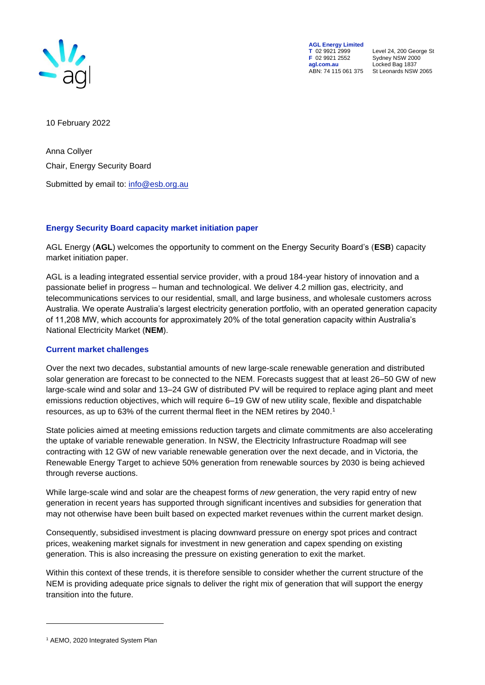

**AGL Energy Limited**<br> **T** 02 9921 2999<br> **F** 02 9921 2552 **F** 02 9921 2552 Sydney NSW 2000 **agl.com.au** Locked Bag 1837<br>ABN: 74 115 061 375 St Leonards NSW

**T** 02 9921 2999 Level 24, 200 George St St Leonards NSW 2065

10 February 2022

Anna Collyer Chair, Energy Security Board Submitted by email to: [info@esb.org.au](mailto:info@esb.org.au) 

## **Energy Security Board capacity market initiation paper**

AGL Energy (**AGL**) welcomes the opportunity to comment on the Energy Security Board's (**ESB**) capacity market initiation paper.

AGL is a leading integrated essential service provider, with a proud 184-year history of innovation and a passionate belief in progress – human and technological. We deliver 4.2 million gas, electricity, and telecommunications services to our residential, small, and large business, and wholesale customers across Australia. We operate Australia's largest electricity generation portfolio, with an operated generation capacity of 11,208 MW, which accounts for approximately 20% of the total generation capacity within Australia's National Electricity Market (**NEM**).

## **Current market challenges**

Over the next two decades, substantial amounts of new large-scale renewable generation and distributed solar generation are forecast to be connected to the NEM. Forecasts suggest that at least 26–50 GW of new large-scale wind and solar and 13–24 GW of distributed PV will be required to replace aging plant and meet emissions reduction objectives, which will require 6–19 GW of new utility scale, flexible and dispatchable resources, as up to 63% of the current thermal fleet in the NEM retires by 2040. 1

State policies aimed at meeting emissions reduction targets and climate commitments are also accelerating the uptake of variable renewable generation. In NSW, the Electricity Infrastructure Roadmap will see contracting with 12 GW of new variable renewable generation over the next decade, and in Victoria, the Renewable Energy Target to achieve 50% generation from renewable sources by 2030 is being achieved through reverse auctions.

While large-scale wind and solar are the cheapest forms of *new* generation, the very rapid entry of new generation in recent years has supported through significant incentives and subsidies for generation that may not otherwise have been built based on expected market revenues within the current market design.

Consequently, subsidised investment is placing downward pressure on energy spot prices and contract prices, weakening market signals for investment in new generation and capex spending on existing generation. This is also increasing the pressure on existing generation to exit the market.

Within this context of these trends, it is therefore sensible to consider whether the current structure of the NEM is providing adequate price signals to deliver the right mix of generation that will support the energy transition into the future.

<sup>&</sup>lt;sup>1</sup> AEMO, 2020 Integrated System Plan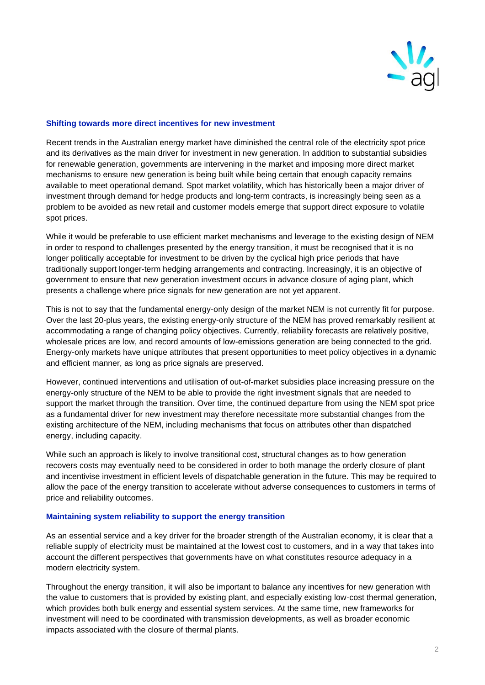

#### **Shifting towards more direct incentives for new investment**

Recent trends in the Australian energy market have diminished the central role of the electricity spot price and its derivatives as the main driver for investment in new generation. In addition to substantial subsidies for renewable generation, governments are intervening in the market and imposing more direct market mechanisms to ensure new generation is being built while being certain that enough capacity remains available to meet operational demand. Spot market volatility, which has historically been a major driver of investment through demand for hedge products and long-term contracts, is increasingly being seen as a problem to be avoided as new retail and customer models emerge that support direct exposure to volatile spot prices.

While it would be preferable to use efficient market mechanisms and leverage to the existing design of NEM in order to respond to challenges presented by the energy transition, it must be recognised that it is no longer politically acceptable for investment to be driven by the cyclical high price periods that have traditionally support longer-term hedging arrangements and contracting. Increasingly, it is an objective of government to ensure that new generation investment occurs in advance closure of aging plant, which presents a challenge where price signals for new generation are not yet apparent.

This is not to say that the fundamental energy-only design of the market NEM is not currently fit for purpose. Over the last 20-plus years, the existing energy-only structure of the NEM has proved remarkably resilient at accommodating a range of changing policy objectives. Currently, reliability forecasts are relatively positive, wholesale prices are low, and record amounts of low-emissions generation are being connected to the grid. Energy-only markets have unique attributes that present opportunities to meet policy objectives in a dynamic and efficient manner, as long as price signals are preserved.

However, continued interventions and utilisation of out-of-market subsidies place increasing pressure on the energy-only structure of the NEM to be able to provide the right investment signals that are needed to support the market through the transition. Over time, the continued departure from using the NEM spot price as a fundamental driver for new investment may therefore necessitate more substantial changes from the existing architecture of the NEM, including mechanisms that focus on attributes other than dispatched energy, including capacity.

While such an approach is likely to involve transitional cost, structural changes as to how generation recovers costs may eventually need to be considered in order to both manage the orderly closure of plant and incentivise investment in efficient levels of dispatchable generation in the future. This may be required to allow the pace of the energy transition to accelerate without adverse consequences to customers in terms of price and reliability outcomes.

#### **Maintaining system reliability to support the energy transition**

As an essential service and a key driver for the broader strength of the Australian economy, it is clear that a reliable supply of electricity must be maintained at the lowest cost to customers, and in a way that takes into account the different perspectives that governments have on what constitutes resource adequacy in a modern electricity system.

Throughout the energy transition, it will also be important to balance any incentives for new generation with the value to customers that is provided by existing plant, and especially existing low-cost thermal generation, which provides both bulk energy and essential system services. At the same time, new frameworks for investment will need to be coordinated with transmission developments, as well as broader economic impacts associated with the closure of thermal plants.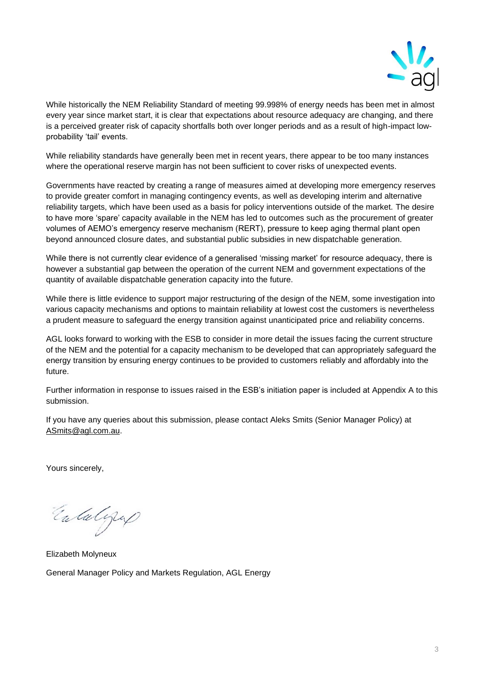

While historically the NEM Reliability Standard of meeting 99.998% of energy needs has been met in almost every year since market start, it is clear that expectations about resource adequacy are changing, and there is a perceived greater risk of capacity shortfalls both over longer periods and as a result of high-impact lowprobability 'tail' events.

While reliability standards have generally been met in recent years, there appear to be too many instances where the operational reserve margin has not been sufficient to cover risks of unexpected events.

Governments have reacted by creating a range of measures aimed at developing more emergency reserves to provide greater comfort in managing contingency events, as well as developing interim and alternative reliability targets, which have been used as a basis for policy interventions outside of the market. The desire to have more 'spare' capacity available in the NEM has led to outcomes such as the procurement of greater volumes of AEMO's emergency reserve mechanism (RERT), pressure to keep aging thermal plant open beyond announced closure dates, and substantial public subsidies in new dispatchable generation.

While there is not currently clear evidence of a generalised 'missing market' for resource adequacy, there is however a substantial gap between the operation of the current NEM and government expectations of the quantity of available dispatchable generation capacity into the future.

While there is little evidence to support major restructuring of the design of the NEM, some investigation into various capacity mechanisms and options to maintain reliability at lowest cost the customers is nevertheless a prudent measure to safeguard the energy transition against unanticipated price and reliability concerns.

AGL looks forward to working with the ESB to consider in more detail the issues facing the current structure of the NEM and the potential for a capacity mechanism to be developed that can appropriately safeguard the energy transition by ensuring energy continues to be provided to customers reliably and affordably into the future.

Further information in response to issues raised in the ESB's initiation paper is included at Appendix A to this submission.

If you have any queries about this submission, please contact Aleks Smits (Senior Manager Policy) at [ASmits@agl.com.au.](mailto:ASmits@agl.com.au)

Yours sincerely,

Entalgap

Elizabeth Molyneux General Manager Policy and Markets Regulation, AGL Energy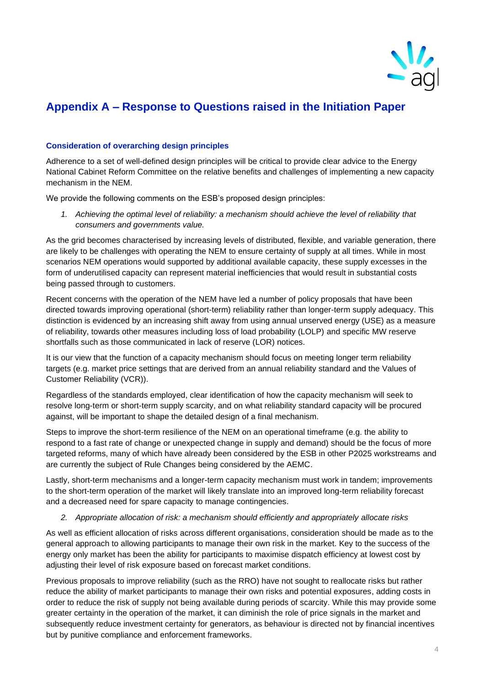

# **Appendix A – Response to Questions raised in the Initiation Paper**

# **Consideration of overarching design principles**

Adherence to a set of well-defined design principles will be critical to provide clear advice to the Energy National Cabinet Reform Committee on the relative benefits and challenges of implementing a new capacity mechanism in the NEM.

We provide the following comments on the ESB's proposed design principles:

*1. Achieving the optimal level of reliability: a mechanism should achieve the level of reliability that consumers and governments value.*

As the grid becomes characterised by increasing levels of distributed, flexible, and variable generation, there are likely to be challenges with operating the NEM to ensure certainty of supply at all times. While in most scenarios NEM operations would supported by additional available capacity, these supply excesses in the form of underutilised capacity can represent material inefficiencies that would result in substantial costs being passed through to customers.

Recent concerns with the operation of the NEM have led a number of policy proposals that have been directed towards improving operational (short-term) reliability rather than longer-term supply adequacy. This distinction is evidenced by an increasing shift away from using annual unserved energy (USE) as a measure of reliability, towards other measures including loss of load probability (LOLP) and specific MW reserve shortfalls such as those communicated in lack of reserve (LOR) notices.

It is our view that the function of a capacity mechanism should focus on meeting longer term reliability targets (e.g. market price settings that are derived from an annual reliability standard and the Values of Customer Reliability (VCR)).

Regardless of the standards employed, clear identification of how the capacity mechanism will seek to resolve long-term or short-term supply scarcity, and on what reliability standard capacity will be procured against, will be important to shape the detailed design of a final mechanism.

Steps to improve the short-term resilience of the NEM on an operational timeframe (e.g. the ability to respond to a fast rate of change or unexpected change in supply and demand) should be the focus of more targeted reforms, many of which have already been considered by the ESB in other P2025 workstreams and are currently the subject of Rule Changes being considered by the AEMC.

Lastly, short-term mechanisms and a longer-term capacity mechanism must work in tandem; improvements to the short-term operation of the market will likely translate into an improved long-term reliability forecast and a decreased need for spare capacity to manage contingencies.

## *2. Appropriate allocation of risk: a mechanism should efficiently and appropriately allocate risks*

As well as efficient allocation of risks across different organisations, consideration should be made as to the general approach to allowing participants to manage their own risk in the market. Key to the success of the energy only market has been the ability for participants to maximise dispatch efficiency at lowest cost by adjusting their level of risk exposure based on forecast market conditions.

Previous proposals to improve reliability (such as the RRO) have not sought to reallocate risks but rather reduce the ability of market participants to manage their own risks and potential exposures, adding costs in order to reduce the risk of supply not being available during periods of scarcity. While this may provide some greater certainty in the operation of the market, it can diminish the role of price signals in the market and subsequently reduce investment certainty for generators, as behaviour is directed not by financial incentives but by punitive compliance and enforcement frameworks.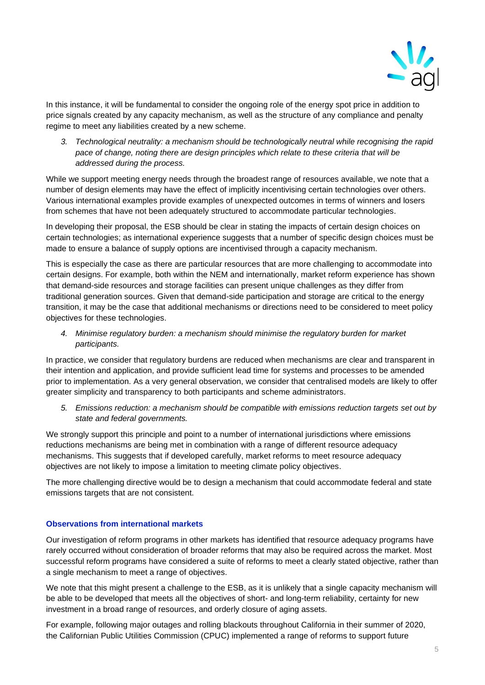

In this instance, it will be fundamental to consider the ongoing role of the energy spot price in addition to price signals created by any capacity mechanism, as well as the structure of any compliance and penalty regime to meet any liabilities created by a new scheme.

*3. Technological neutrality: a mechanism should be technologically neutral while recognising the rapid pace of change, noting there are design principles which relate to these criteria that will be addressed during the process.*

While we support meeting energy needs through the broadest range of resources available, we note that a number of design elements may have the effect of implicitly incentivising certain technologies over others. Various international examples provide examples of unexpected outcomes in terms of winners and losers from schemes that have not been adequately structured to accommodate particular technologies.

In developing their proposal, the ESB should be clear in stating the impacts of certain design choices on certain technologies; as international experience suggests that a number of specific design choices must be made to ensure a balance of supply options are incentivised through a capacity mechanism.

This is especially the case as there are particular resources that are more challenging to accommodate into certain designs. For example, both within the NEM and internationally, market reform experience has shown that demand-side resources and storage facilities can present unique challenges as they differ from traditional generation sources. Given that demand-side participation and storage are critical to the energy transition, it may be the case that additional mechanisms or directions need to be considered to meet policy objectives for these technologies.

*4. Minimise regulatory burden: a mechanism should minimise the regulatory burden for market participants.* 

In practice, we consider that regulatory burdens are reduced when mechanisms are clear and transparent in their intention and application, and provide sufficient lead time for systems and processes to be amended prior to implementation. As a very general observation, we consider that centralised models are likely to offer greater simplicity and transparency to both participants and scheme administrators.

*5. Emissions reduction: a mechanism should be compatible with emissions reduction targets set out by state and federal governments.*

We strongly support this principle and point to a number of international jurisdictions where emissions reductions mechanisms are being met in combination with a range of different resource adequacy mechanisms. This suggests that if developed carefully, market reforms to meet resource adequacy objectives are not likely to impose a limitation to meeting climate policy objectives.

The more challenging directive would be to design a mechanism that could accommodate federal and state emissions targets that are not consistent.

## **Observations from international markets**

Our investigation of reform programs in other markets has identified that resource adequacy programs have rarely occurred without consideration of broader reforms that may also be required across the market. Most successful reform programs have considered a suite of reforms to meet a clearly stated objective, rather than a single mechanism to meet a range of objectives.

We note that this might present a challenge to the ESB, as it is unlikely that a single capacity mechanism will be able to be developed that meets all the objectives of short- and long-term reliability, certainty for new investment in a broad range of resources, and orderly closure of aging assets.

For example, following major outages and rolling blackouts throughout California in their summer of 2020, the Californian Public Utilities Commission (CPUC) implemented a range of reforms to support future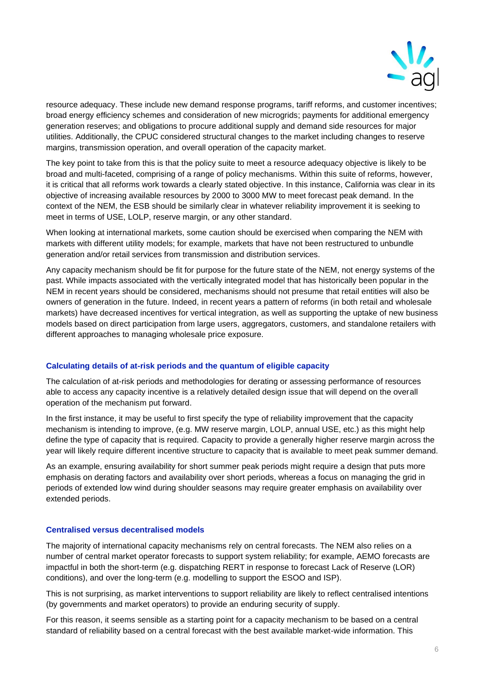

resource adequacy. These include new demand response programs, tariff reforms, and customer incentives; broad energy efficiency schemes and consideration of new microgrids; payments for additional emergency generation reserves; and obligations to procure additional supply and demand side resources for major utilities. Additionally, the CPUC considered structural changes to the market including changes to reserve margins, transmission operation, and overall operation of the capacity market.

The key point to take from this is that the policy suite to meet a resource adequacy objective is likely to be broad and multi-faceted, comprising of a range of policy mechanisms. Within this suite of reforms, however, it is critical that all reforms work towards a clearly stated objective. In this instance, California was clear in its objective of increasing available resources by 2000 to 3000 MW to meet forecast peak demand. In the context of the NEM, the ESB should be similarly clear in whatever reliability improvement it is seeking to meet in terms of USE, LOLP, reserve margin, or any other standard.

When looking at international markets, some caution should be exercised when comparing the NEM with markets with different utility models; for example, markets that have not been restructured to unbundle generation and/or retail services from transmission and distribution services.

Any capacity mechanism should be fit for purpose for the future state of the NEM, not energy systems of the past. While impacts associated with the vertically integrated model that has historically been popular in the NEM in recent years should be considered, mechanisms should not presume that retail entities will also be owners of generation in the future. Indeed, in recent years a pattern of reforms (in both retail and wholesale markets) have decreased incentives for vertical integration, as well as supporting the uptake of new business models based on direct participation from large users, aggregators, customers, and standalone retailers with different approaches to managing wholesale price exposure.

## **Calculating details of at-risk periods and the quantum of eligible capacity**

The calculation of at-risk periods and methodologies for derating or assessing performance of resources able to access any capacity incentive is a relatively detailed design issue that will depend on the overall operation of the mechanism put forward.

In the first instance, it may be useful to first specify the type of reliability improvement that the capacity mechanism is intending to improve, (e.g. MW reserve margin, LOLP, annual USE, etc.) as this might help define the type of capacity that is required. Capacity to provide a generally higher reserve margin across the year will likely require different incentive structure to capacity that is available to meet peak summer demand.

As an example, ensuring availability for short summer peak periods might require a design that puts more emphasis on derating factors and availability over short periods, whereas a focus on managing the grid in periods of extended low wind during shoulder seasons may require greater emphasis on availability over extended periods.

#### **Centralised versus decentralised models**

The majority of international capacity mechanisms rely on central forecasts. The NEM also relies on a number of central market operator forecasts to support system reliability; for example, AEMO forecasts are impactful in both the short-term (e.g. dispatching RERT in response to forecast Lack of Reserve (LOR) conditions), and over the long-term (e.g. modelling to support the ESOO and ISP).

This is not surprising, as market interventions to support reliability are likely to reflect centralised intentions (by governments and market operators) to provide an enduring security of supply.

For this reason, it seems sensible as a starting point for a capacity mechanism to be based on a central standard of reliability based on a central forecast with the best available market-wide information. This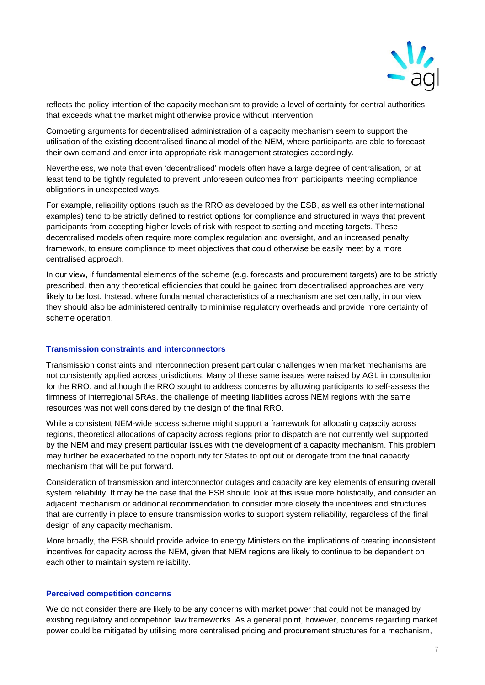

reflects the policy intention of the capacity mechanism to provide a level of certainty for central authorities that exceeds what the market might otherwise provide without intervention.

Competing arguments for decentralised administration of a capacity mechanism seem to support the utilisation of the existing decentralised financial model of the NEM, where participants are able to forecast their own demand and enter into appropriate risk management strategies accordingly.

Nevertheless, we note that even 'decentralised' models often have a large degree of centralisation, or at least tend to be tightly regulated to prevent unforeseen outcomes from participants meeting compliance obligations in unexpected ways.

For example, reliability options (such as the RRO as developed by the ESB, as well as other international examples) tend to be strictly defined to restrict options for compliance and structured in ways that prevent participants from accepting higher levels of risk with respect to setting and meeting targets. These decentralised models often require more complex regulation and oversight, and an increased penalty framework, to ensure compliance to meet objectives that could otherwise be easily meet by a more centralised approach.

In our view, if fundamental elements of the scheme (e.g. forecasts and procurement targets) are to be strictly prescribed, then any theoretical efficiencies that could be gained from decentralised approaches are very likely to be lost. Instead, where fundamental characteristics of a mechanism are set centrally, in our view they should also be administered centrally to minimise regulatory overheads and provide more certainty of scheme operation.

#### **Transmission constraints and interconnectors**

Transmission constraints and interconnection present particular challenges when market mechanisms are not consistently applied across jurisdictions. Many of these same issues were raised by AGL in consultation for the RRO, and although the RRO sought to address concerns by allowing participants to self-assess the firmness of interregional SRAs, the challenge of meeting liabilities across NEM regions with the same resources was not well considered by the design of the final RRO.

While a consistent NEM-wide access scheme might support a framework for allocating capacity across regions, theoretical allocations of capacity across regions prior to dispatch are not currently well supported by the NEM and may present particular issues with the development of a capacity mechanism. This problem may further be exacerbated to the opportunity for States to opt out or derogate from the final capacity mechanism that will be put forward.

Consideration of transmission and interconnector outages and capacity are key elements of ensuring overall system reliability. It may be the case that the ESB should look at this issue more holistically, and consider an adjacent mechanism or additional recommendation to consider more closely the incentives and structures that are currently in place to ensure transmission works to support system reliability, regardless of the final design of any capacity mechanism.

More broadly, the ESB should provide advice to energy Ministers on the implications of creating inconsistent incentives for capacity across the NEM, given that NEM regions are likely to continue to be dependent on each other to maintain system reliability.

#### **Perceived competition concerns**

We do not consider there are likely to be any concerns with market power that could not be managed by existing regulatory and competition law frameworks. As a general point, however, concerns regarding market power could be mitigated by utilising more centralised pricing and procurement structures for a mechanism,